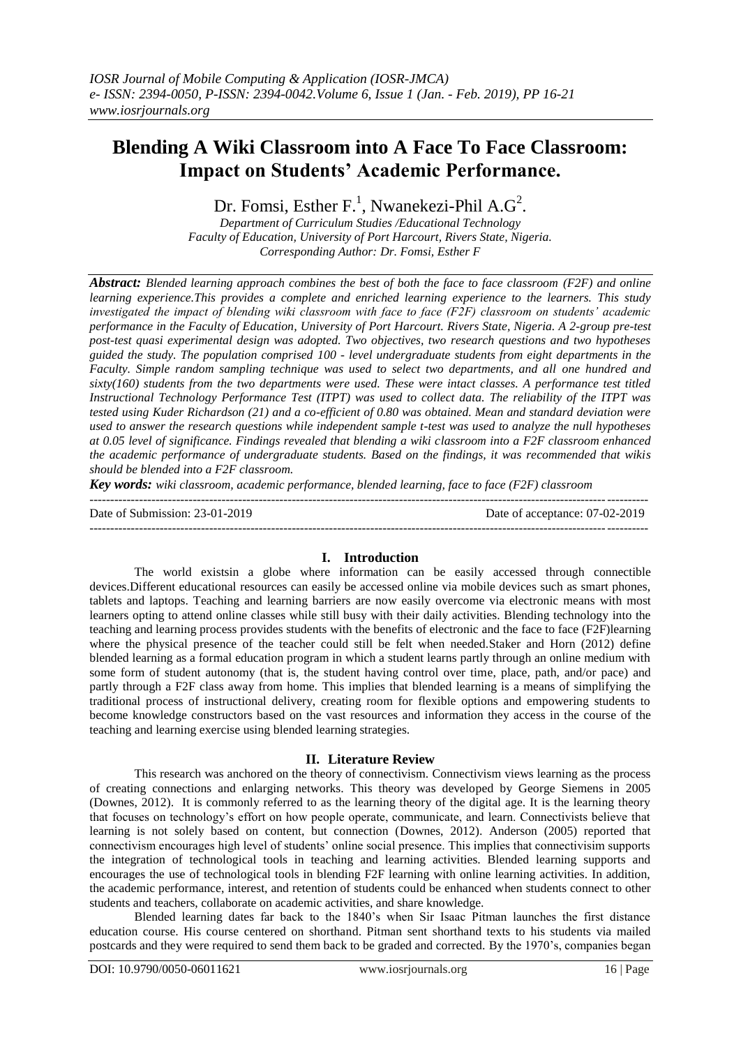# **Blending A Wiki Classroom into A Face To Face Classroom: Impact on Students' Academic Performance.**

Dr. Fomsi, Esther F.<sup>1</sup>, Nwanekezi-Phil A.G<sup>2</sup>.

*Department of Curriculum Studies /Educational Technology Faculty of Education, University of Port Harcourt, Rivers State, Nigeria. Corresponding Author: Dr. Fomsi, Esther F*

*Abstract: Blended learning approach combines the best of both the face to face classroom (F2F) and online learning experience.This provides a complete and enriched learning experience to the learners. This study investigated the impact of blending wiki classroom with face to face (F2F) classroom on students' academic performance in the Faculty of Education, University of Port Harcourt. Rivers State, Nigeria. A 2-group pre-test post-test quasi experimental design was adopted. Two objectives, two research questions and two hypotheses guided the study. The population comprised 100 - level undergraduate students from eight departments in the Faculty. Simple random sampling technique was used to select two departments, and all one hundred and sixty(160) students from the two departments were used. These were intact classes. A performance test titled Instructional Technology Performance Test (ITPT) was used to collect data. The reliability of the ITPT was tested using Kuder Richardson (21) and a co-efficient of 0.80 was obtained. Mean and standard deviation were used to answer the research questions while independent sample t-test was used to analyze the null hypotheses at 0.05 level of significance. Findings revealed that blending a wiki classroom into a F2F classroom enhanced the academic performance of undergraduate students. Based on the findings, it was recommended that wikis should be blended into a F2F classroom.*

*Key words: wiki classroom, academic performance, blended learning, face to face (F2F) classroom* ---------------------------------------------------------------------------------------------------------------------------------------

Date of Submission: 23-01-2019 Date of acceptance: 07-02-2019

---------------------------------------------------------------------------------------------------------------------------------------

### **I. Introduction**

The world existsin a globe where information can be easily accessed through connectible devices.Different educational resources can easily be accessed online via mobile devices such as smart phones, tablets and laptops. Teaching and learning barriers are now easily overcome via electronic means with most learners opting to attend online classes while still busy with their daily activities. Blending technology into the teaching and learning process provides students with the benefits of electronic and the face to face (F2F)learning where the physical presence of the teacher could still be felt when needed.Staker and Horn (2012) define blended learning as a formal education program in which a student learns partly through an online medium with some form of student autonomy (that is, the student having control over time, place, path, and/or pace) and partly through a F2F class away from home. This implies that blended learning is a means of simplifying the traditional process of instructional delivery, creating room for flexible options and empowering students to become knowledge constructors based on the vast resources and information they access in the course of the teaching and learning exercise using blended learning strategies.

### **II. Literature Review**

This research was anchored on the theory of connectivism. Connectivism views learning as the process of creating connections and enlarging networks. This theory was developed by George Siemens in 2005 (Downes, 2012). It is commonly referred to as the learning theory of the digital age. It is the learning theory that focuses on technology's effort on how people operate, communicate, and learn. Connectivists believe that learning is not solely based on content, but connection (Downes, 2012). Anderson (2005) reported that connectivism encourages high level of students' online social presence. This implies that connectivisim supports the integration of technological tools in teaching and learning activities. Blended learning supports and encourages the use of technological tools in blending F2F learning with online learning activities. In addition, the academic performance, interest, and retention of students could be enhanced when students connect to other students and teachers, collaborate on academic activities, and share knowledge.

Blended learning dates far back to the 1840's when Sir Isaac Pitman launches the first distance education course. His course centered on shorthand. Pitman sent shorthand texts to his students via mailed postcards and they were required to send them back to be graded and corrected. By the 1970's, companies began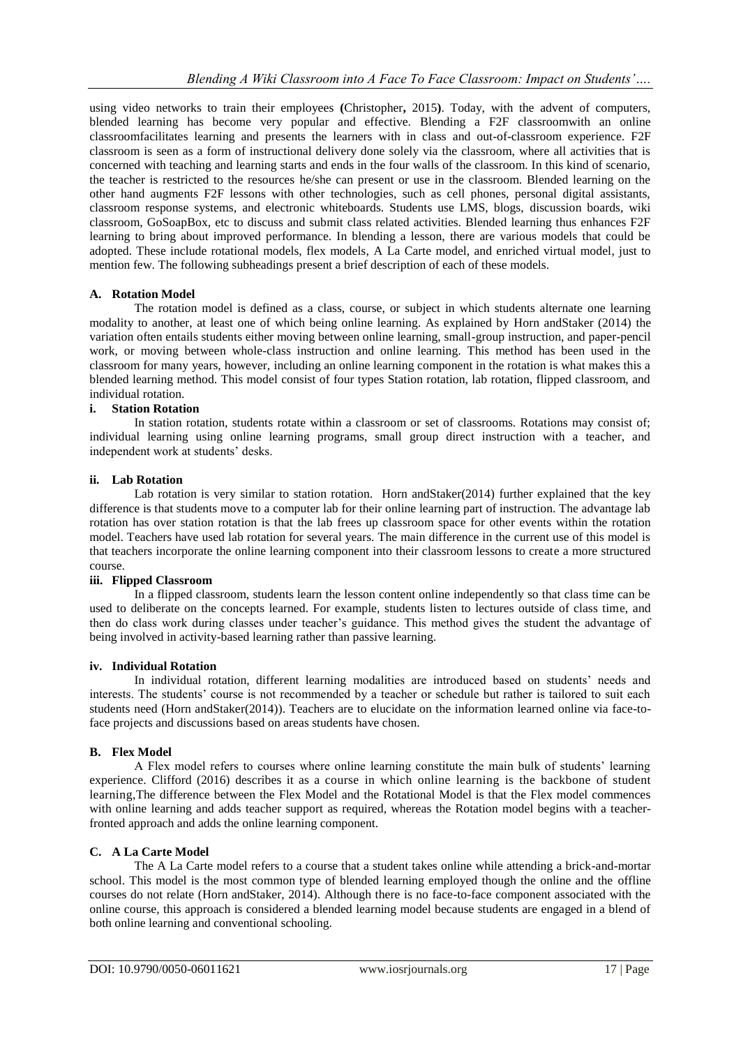using video networks to train their employees **(**Christopher**,** 2015**)**. Today, with the advent of computers, blended learning has become very popular and effective. Blending a F2F classroomwith an online classroomfacilitates learning and presents the learners with in class and out-of-classroom experience. F2F classroom is seen as a form of instructional delivery done solely via the classroom, where all activities that is concerned with teaching and learning starts and ends in the four walls of the classroom. In this kind of scenario, the teacher is restricted to the resources he/she can present or use in the classroom. Blended learning on the other hand augments F2F lessons with other technologies, such as cell phones, personal digital assistants, classroom response systems, and electronic whiteboards. Students use LMS, blogs, discussion boards, wiki classroom, GoSoapBox, etc to discuss and submit class related activities. Blended learning thus enhances F2F learning to bring about improved performance. In blending a lesson, there are various models that could be adopted. These include rotational models, flex models, A La Carte model, and enriched virtual model, just to mention few. The following subheadings present a brief description of each of these models.

# **A. Rotation Model**

The rotation model is defined as a class, course, or subject in which students alternate one learning modality to another, at least one of which being online learning. As explained by Horn andStaker (2014) the variation often entails students either moving between online learning, small-group instruction, and paper-pencil work, or moving between whole-class instruction and online learning. This method has been used in the classroom for many years, however, including an online learning component in the rotation is what makes this a blended learning method. This model consist of four types Station rotation, lab rotation, flipped classroom, and individual rotation.

# **i. Station Rotation**

In station rotation, students rotate within a classroom or set of classrooms. Rotations may consist of; individual learning using online learning programs, small group direct instruction with a teacher, and independent work at students' desks.

# **ii. Lab Rotation**

Lab rotation is very similar to station rotation. Horn and Staker(2014) further explained that the key difference is that students move to a computer lab for their online learning part of instruction. The advantage lab rotation has over station rotation is that the lab frees up classroom space for other events within the rotation model. Teachers have used lab rotation for several years. The main difference in the current use of this model is that teachers incorporate the online learning component into their classroom lessons to create a more structured course.

## **iii. Flipped Classroom**

In a flipped classroom, students learn the lesson content online independently so that class time can be used to deliberate on the concepts learned. For example, students listen to lectures outside of class time, and then do class work during classes under teacher's guidance. This method gives the student the advantage of being involved in activity-based learning rather than passive learning.

### **iv. Individual Rotation**

In individual rotation, different learning modalities are introduced based on students' needs and interests. The students' course is not recommended by a teacher or schedule but rather is tailored to suit each students need (Horn andStaker(2014)). Teachers are to elucidate on the information learned online via face-toface projects and discussions based on areas students have chosen.

# **B. Flex Model**

A Flex model refers to courses where online learning constitute the main bulk of students' learning experience. Clifford (2016) describes it as a course in which online learning is the backbone of student learning,The difference between the Flex Model and the Rotational Model is that the Flex model commences with online learning and adds teacher support as required, whereas the Rotation model begins with a teacherfronted approach and adds the online learning component.

# **C. A La Carte Model**

The A La Carte model refers to a course that a student takes online while attending a brick-and-mortar school. This model is the most common type of blended learning employed though the online and the offline courses do not relate (Horn andStaker, 2014). Although there is no face-to-face component associated with the online course, this approach is considered a blended learning model because students are engaged in a blend of both online learning and conventional schooling.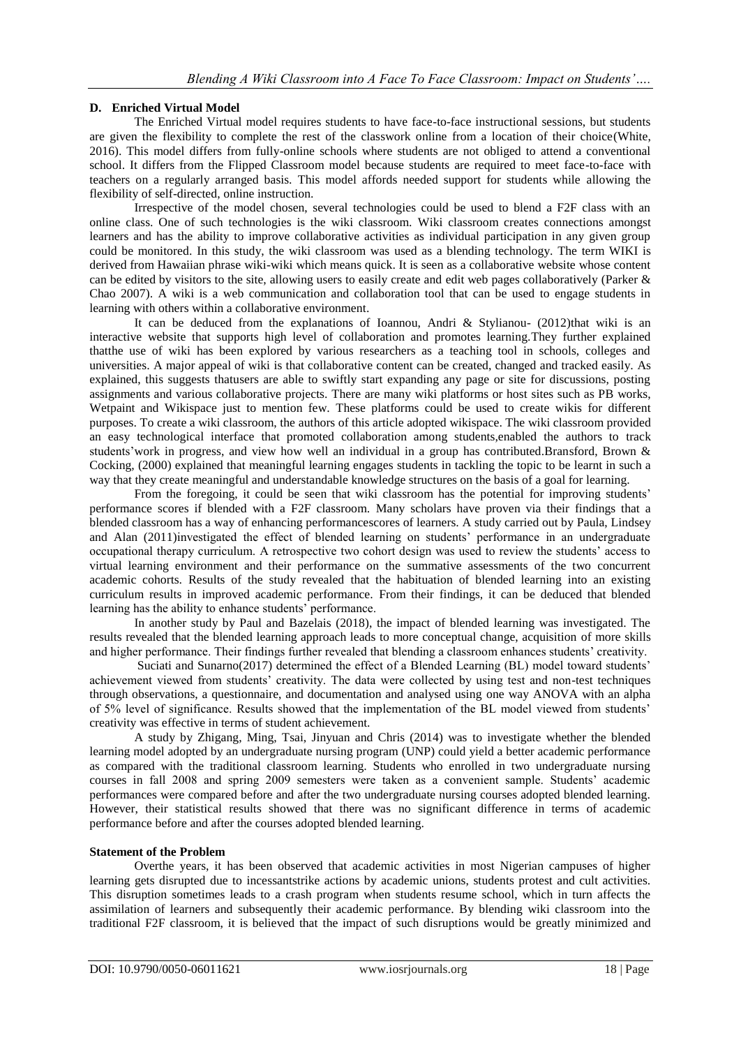# **D. Enriched Virtual Model**

The Enriched Virtual model requires students to have face-to-face instructional sessions, but students are given the flexibility to complete the rest of the classwork online from a location of their choice(White, 2016). This model differs from fully-online schools where students are not obliged to attend a conventional school. It differs from the Flipped Classroom model because students are required to meet face-to-face with teachers on a regularly arranged basis. This model affords needed support for students while allowing the flexibility of self-directed, online instruction.

Irrespective of the model chosen, several technologies could be used to blend a F2F class with an online class. One of such technologies is the wiki classroom. Wiki classroom creates connections amongst learners and has the ability to improve collaborative activities as individual participation in any given group could be monitored. In this study, the wiki classroom was used as a blending technology. The term WIKI is derived from Hawaiian phrase wiki-wiki which means quick. It is seen as a collaborative website whose content can be edited by visitors to the site, allowing users to easily create and edit web pages collaboratively (Parker & Chao 2007). A wiki is a web communication and collaboration tool that can be used to engage students in learning with others within a collaborative environment.

It can be deduced from the explanations of Ioannou, Andri & Stylianou- (2012)that wiki is an interactive website that supports high level of collaboration and promotes learning.They further explained thatthe use of wiki has been explored by various researchers as a teaching tool in schools, colleges and universities. A major appeal of wiki is that collaborative content can be created, changed and tracked easily. As explained, this suggests thatusers are able to swiftly start expanding any page or site for discussions, posting assignments and various collaborative projects. There are many wiki platforms or host sites such as PB works, Wetpaint and Wikispace just to mention few. These platforms could be used to create wikis for different purposes. To create a wiki classroom, the authors of this article adopted wikispace. The wiki classroom provided an easy technological interface that promoted collaboration among students,enabled the authors to track students'work in progress, and view how well an individual in a group has contributed.Bransford, Brown & Cocking, (2000) explained that meaningful learning engages students in tackling the topic to be learnt in such a way that they create meaningful and understandable knowledge structures on the basis of a goal for learning.

From the foregoing, it could be seen that wiki classroom has the potential for improving students' performance scores if blended with a F2F classroom. Many scholars have proven via their findings that a blended classroom has a way of enhancing performancescores of learners. A study carried out by Paula, Lindsey and Alan (2011)investigated the effect of blended learning on students' performance in an undergraduate occupational therapy curriculum. A retrospective two cohort design was used to review the students' access to virtual learning environment and their performance on the summative assessments of the two concurrent academic cohorts. Results of the study revealed that the habituation of blended learning into an existing curriculum results in improved academic performance. From their findings, it can be deduced that blended learning has the ability to enhance students' performance.

In another study by Paul and Bazelais (2018), the impact of blended learning was investigated. The results revealed that the blended learning approach leads to more conceptual change, acquisition of more skills and higher performance. Their findings further revealed that blending a classroom enhances students' creativity.

Suciati and Sunarno(2017) determined the effect of a Blended Learning (BL) model toward students' achievement viewed from students' creativity. The data were collected by using test and non-test techniques through observations, a questionnaire, and documentation and analysed using one way ANOVA with an alpha of 5% level of significance. Results showed that the implementation of the BL model viewed from students' creativity was effective in terms of student achievement.

A study by Zhigang, Ming, Tsai, Jinyuan and Chris (2014) was to investigate whether the blended learning model adopted by an undergraduate nursing program (UNP) could yield a better academic performance as compared with the traditional classroom learning. Students who enrolled in two undergraduate nursing courses in fall 2008 and spring 2009 semesters were taken as a convenient sample. Students' academic performances were compared before and after the two undergraduate nursing courses adopted blended learning. However, their statistical results showed that there was no significant difference in terms of academic performance before and after the courses adopted blended learning.

# **Statement of the Problem**

Overthe years, it has been observed that academic activities in most Nigerian campuses of higher learning gets disrupted due to incessantstrike actions by academic unions, students protest and cult activities. This disruption sometimes leads to a crash program when students resume school, which in turn affects the assimilation of learners and subsequently their academic performance. By blending wiki classroom into the traditional F2F classroom, it is believed that the impact of such disruptions would be greatly minimized and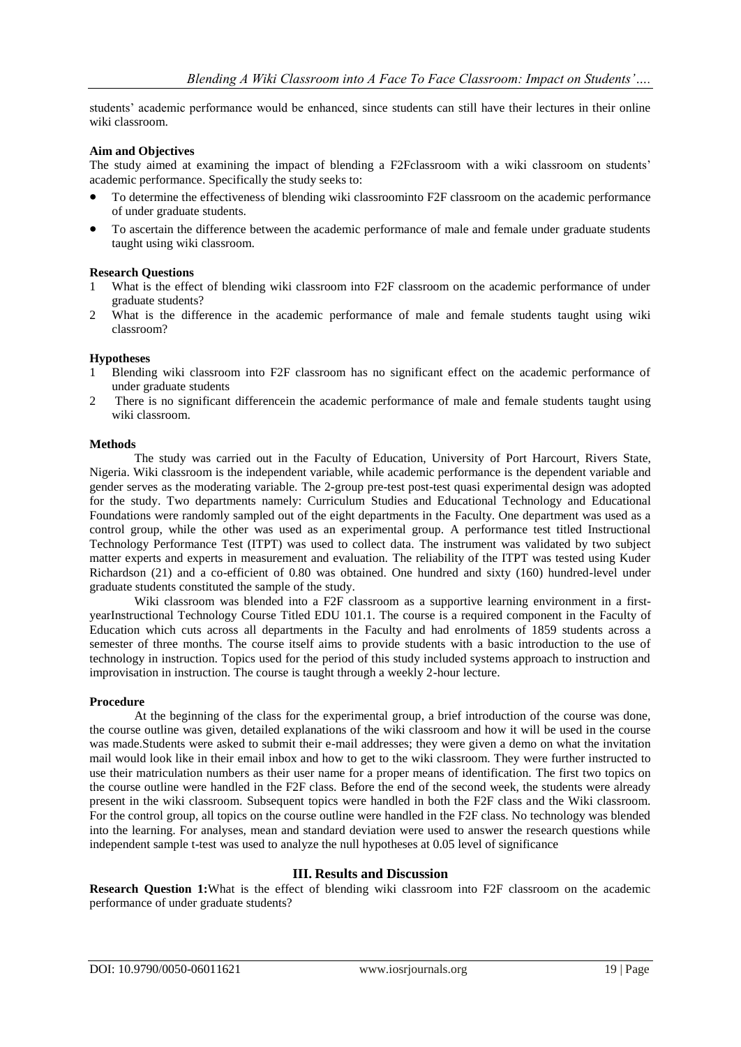students' academic performance would be enhanced, since students can still have their lectures in their online wiki classroom.

# **Aim and Objectives**

The study aimed at examining the impact of blending a F2Fclassroom with a wiki classroom on students' academic performance. Specifically the study seeks to:

- To determine the effectiveness of blending wiki classroominto F2F classroom on the academic performance of under graduate students.
- To ascertain the difference between the academic performance of male and female under graduate students taught using wiki classroom.

### **Research Questions**

- 1 What is the effect of blending wiki classroom into F2F classroom on the academic performance of under graduate students?
- 2 What is the difference in the academic performance of male and female students taught using wiki classroom?

# **Hypotheses**

- 1 Blending wiki classroom into F2F classroom has no significant effect on the academic performance of under graduate students
- 2 There is no significant differencein the academic performance of male and female students taught using wiki classroom.

### **Methods**

The study was carried out in the Faculty of Education, University of Port Harcourt, Rivers State, Nigeria. Wiki classroom is the independent variable, while academic performance is the dependent variable and gender serves as the moderating variable. The 2-group pre-test post-test quasi experimental design was adopted for the study. Two departments namely: Curriculum Studies and Educational Technology and Educational Foundations were randomly sampled out of the eight departments in the Faculty. One department was used as a control group, while the other was used as an experimental group. A performance test titled Instructional Technology Performance Test (ITPT) was used to collect data. The instrument was validated by two subject matter experts and experts in measurement and evaluation. The reliability of the ITPT was tested using Kuder Richardson (21) and a co-efficient of 0.80 was obtained. One hundred and sixty (160) hundred-level under graduate students constituted the sample of the study.

Wiki classroom was blended into a F2F classroom as a supportive learning environment in a firstyearInstructional Technology Course Titled EDU 101.1. The course is a required component in the Faculty of Education which cuts across all departments in the Faculty and had enrolments of 1859 students across a semester of three months. The course itself aims to provide students with a basic introduction to the use of technology in instruction. Topics used for the period of this study included systems approach to instruction and improvisation in instruction. The course is taught through a weekly 2-hour lecture.

## **Procedure**

At the beginning of the class for the experimental group, a brief introduction of the course was done, the course outline was given, detailed explanations of the wiki classroom and how it will be used in the course was made.Students were asked to submit their e-mail addresses; they were given a demo on what the invitation mail would look like in their email inbox and how to get to the wiki classroom. They were further instructed to use their matriculation numbers as their user name for a proper means of identification. The first two topics on the course outline were handled in the F2F class. Before the end of the second week, the students were already present in the wiki classroom. Subsequent topics were handled in both the F2F class and the Wiki classroom. For the control group, all topics on the course outline were handled in the F2F class. No technology was blended into the learning. For analyses, mean and standard deviation were used to answer the research questions while independent sample t-test was used to analyze the null hypotheses at 0.05 level of significance

### **III. Results and Discussion**

**Research Question 1:**What is the effect of blending wiki classroom into F2F classroom on the academic performance of under graduate students?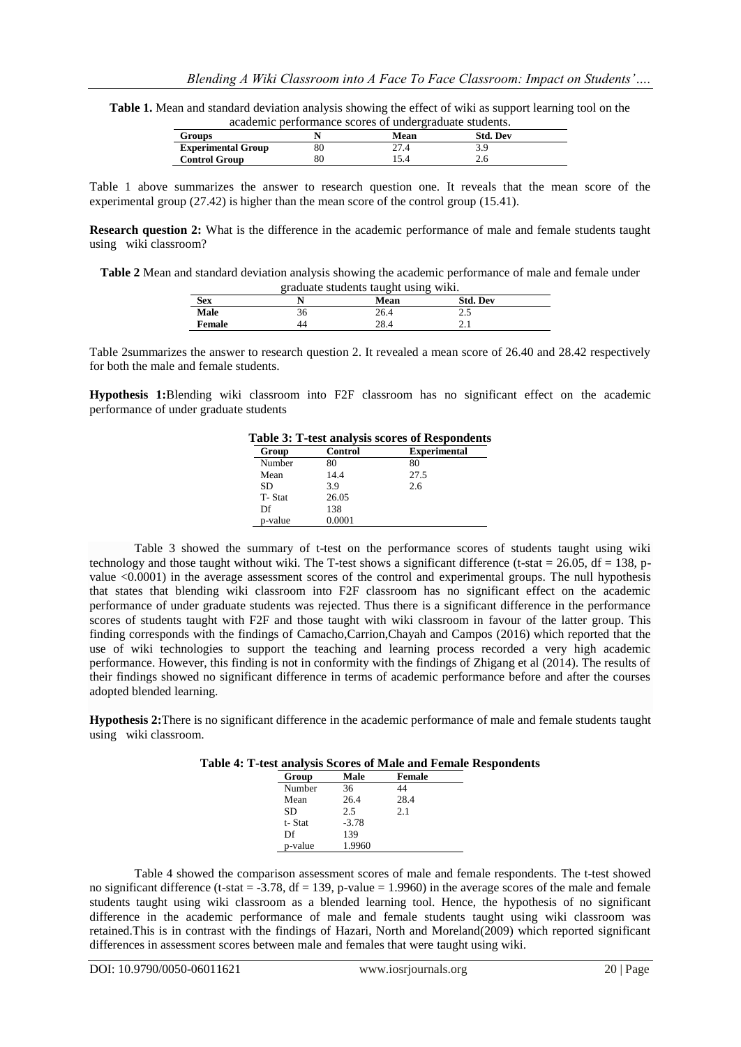**Table 1.** Mean and standard deviation analysis showing the effect of wiki as support learning tool on the academic performance scores of undergraduate students.

|                           | weaversing performance became of antweighausaus bundenbol |                 |  |
|---------------------------|-----------------------------------------------------------|-----------------|--|
| <b>Groups</b>             | <b>Mean</b>                                               | <b>Std. Dev</b> |  |
| <b>Experimental Group</b> | 27.4                                                      |                 |  |
| <b>Control Group</b>      |                                                           |                 |  |
|                           |                                                           |                 |  |

Table 1 above summarizes the answer to research question one. It reveals that the mean score of the experimental group (27.42) is higher than the mean score of the control group (15.41).

**Research question 2:** What is the difference in the academic performance of male and female students taught using wiki classroom?

**Table 2** Mean and standard deviation analysis showing the academic performance of male and female under graduate students taught using wiki.

|               | ---------- |            | .               |  |
|---------------|------------|------------|-----------------|--|
| <b>Sex</b>    |            | Mean       | <b>Std. Dev</b> |  |
| Male          | 30         | 26.4       | ر. ے            |  |
| <b>Female</b> | 44         | າດ<br>40.4 | 2. L            |  |

Table 2summarizes the answer to research question 2. It revealed a mean score of 26.40 and 28.42 respectively for both the male and female students.

**Hypothesis 1:**Blending wiki classroom into F2F classroom has no significant effect on the academic performance of under graduate students

|  |  |  | Table 3: T-test analysis scores of Respondents |  |
|--|--|--|------------------------------------------------|--|
|  |  |  |                                                |  |

| Group     | Control | <b>Experimental</b> |
|-----------|---------|---------------------|
| Number    | 80      | 80                  |
| Mean      | 14.4    | 27.5                |
| <b>SD</b> | 3.9     | 2.6                 |
| T-Stat    | 26.05   |                     |
| Df        | 138     |                     |
| p-value   | 0.0001  |                     |
|           |         |                     |

Table 3 showed the summary of t-test on the performance scores of students taught using wiki technology and those taught without wiki. The T-test shows a significant difference (t-stat =  $26.05$ , df = 138, pvalue <0.0001) in the average assessment scores of the control and experimental groups. The null hypothesis that states that blending wiki classroom into F2F classroom has no significant effect on the academic performance of under graduate students was rejected. Thus there is a significant difference in the performance scores of students taught with F2F and those taught with wiki classroom in favour of the latter group. This finding corresponds with the findings of Camacho,Carrion,Chayah and Campos (2016) which reported that the use of wiki technologies to support the teaching and learning process recorded a very high academic performance. However, this finding is not in conformity with the findings of Zhigang et al (2014). The results of their findings showed no significant difference in terms of academic performance before and after the courses adopted blended learning.

**Hypothesis 2:**There is no significant difference in the academic performance of male and female students taught using wiki classroom.

|  | Table 4: T-test analysis Scores of Male and Female Respondents |  |  |  |  |  |
|--|----------------------------------------------------------------|--|--|--|--|--|
|--|----------------------------------------------------------------|--|--|--|--|--|

| Group   | Male    | <b>Female</b> |  |
|---------|---------|---------------|--|
| Number  | 36      | 44            |  |
| Mean    | 26.4    | 28.4          |  |
| SD      | 2.5     | 2.1           |  |
| t-Stat  | $-3.78$ |               |  |
| Df      | 139     |               |  |
| p-value | 1.9960  |               |  |

Table 4 showed the comparison assessment scores of male and female respondents. The t-test showed no significant difference (t-stat  $=$  -3.78, df  $=$  139, p-value  $=$  1.9960) in the average scores of the male and female students taught using wiki classroom as a blended learning tool. Hence, the hypothesis of no significant difference in the academic performance of male and female students taught using wiki classroom was retained.This is in contrast with the findings of Hazari, North and Moreland(2009) which reported significant differences in assessment scores between male and females that were taught using wiki.

 $\overline{a}$